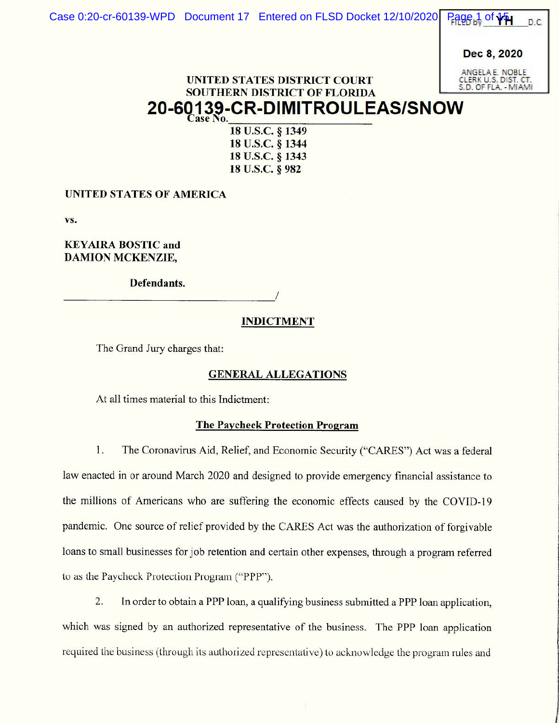Dec 8, 2020

ANGELA E. NOB CLERK U.S. DIST. CT. S. D. OF FLA. - MIAMI

**Walder Composition Composition** 

f

# UNITED STATES DISTRICT COURT SOUTHERN DISTRICT OF FLORIDA  $20$ -60139-CR-DIMITROULEAS/SNOW

**u.s.c.** § **1349 u.s.c.** § **1344 u.s.c.** § **1343 u.s.c.** § **982** 

**UNITED STATES OF AMERICA** 

**vs.** 

**KEY AIRA BOSTIC and DAMION MCKENZIE,** 

**Defendants.** \_\_\_\_\_\_\_\_\_\_\_\_\_\_\_\_\_ /

### **INDICTMENT**

The Grand Jury charges that:

#### **GENERAL ALLEGATIONS**

At all times material to this Indictment:

#### **The Paycheck Protection Program**

1. The Coronavirus Aid, Relief, and Economic Security ("CARES") Act was a federal law enacted in or around March 2020 and designed to provide emergency financial assistance to the millions of Americans who are suffering the economic effects caused by the COVID-19 pandemic. One source of relief provided by the CARES Act was the authorization of forgivable loans to small businesses for job retention and certain other expenses, through a program referred to as the Paycheck Protection Program ("PPP").

2. In order to obtain a PPP loan, a qualifying business submitted a PPP loan application, which was signed by an authorized representative of the business. The PPP loan application required the business (lhrough its authorized representative) lo acknowledge the program rules and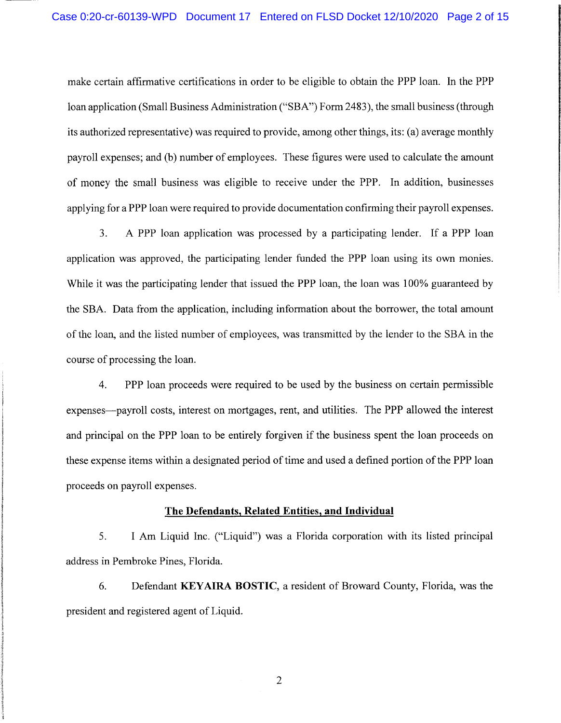make certain affirmative certifications in order to be eligible to obtain the PPP loan. In the PPP loan application (Small Business Administration ("SBA") Form 2483), the small business (through its authorized representative) was required to provide, among other things, its: (a) average monthly payroll expenses; and (b) number of employees. These figures were used to calculate the amount of money the small business was eligible to receive under the PPP. In addition, businesses applying for a PPP loan were required to provide documentation confirming their payroll expenses.

3. A PPP loan application was processed by a participating lender. If a PPP loan application was approved, the participating lender funded the PPP loan using its own monies. While it was the participating lender that issued the PPP loan, the loan was 100% guaranteed by the SBA. Data from the application, including information about the borrower, the total amount of the loan, and the listed number of employees, was transmitted by the lender to the SBA in the course of processing the loan.

4. PPP loan proceeds were required to be used by the business on certain permissible expenses—payroll costs, interest on mortgages, rent, and utilities. The PPP allowed the interest and principal on the PPP loan to be entirely forgiven if the business spent the loan proceeds on these expense items within a designated period of time and used a defined portion of the PPP loan proceeds on payroll expenses.

#### **The Defendants, Related Entities, and Individual**

5. I Arn Liquid Inc. ("Liquid") was a Florida corporation with its listed principal address in Pembroke Pines, Florida.

6. Defendant **KEYAIRA BOSTIC,** a resident of Broward County, Florida, was the president and registered agent of Liquid.

2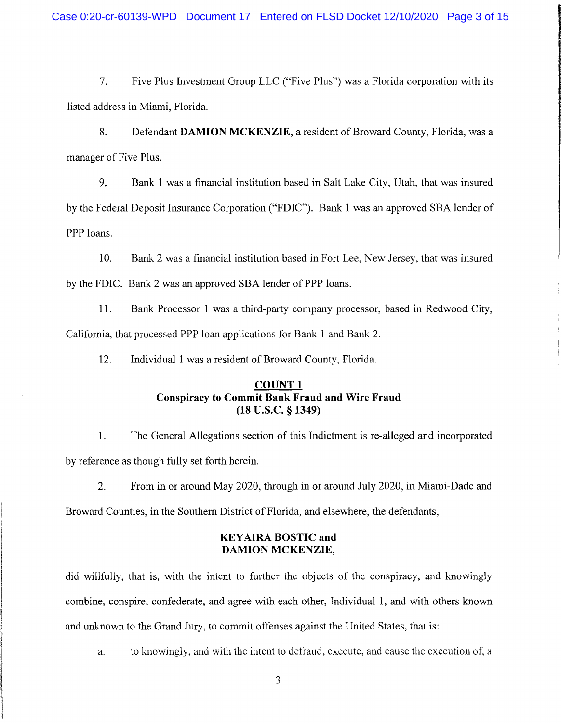7. Five Plus Investment Group LLC ("Five Plus") was a Florida corporation with its listed address in Miami, Florida.

8. Defendant **DAMION MCKENZIE,** a resident of Broward County, Florida, was a manager of Five Plus.

9. Bank 1 was a financial institution based in Salt Lake City, Utah, that was insured by the Federal Deposit Insurance Corporation ("FDIC"). Bank 1 was an approved SBA lender of PPP loans.

10. Bank 2 was a financial institution based in Fort Lee, New Jersey, that was insured by the FDIC. Bank 2 was an approved SBA lender of PPP loans.

11. Bank Processor 1 was a third-party company processor, based in Redwood City, California, that processed PPP loan applications for Bank 1 and Bank 2.

12. Individual 1 was a resident of Broward County, Florida.

## **COUNT 1 Conspiracy to Commit Bank Fraud and Wire Fraud (18 u.s.c. § 1349)**

1. The General Allegations section of this Indictment is re-alleged and incorporated by reference as though fully set forth herein.

2. From in or around May 2020, through in or around July 2020, in Miami-Dade and

Broward Counties, in the Southern District of Florida, and elsewhere, the defendants,

#### **KEYAIRA BOSTIC and DAMION MCKENZIE,**

did willfully, that is, with the intent to further the objects of the conspiracy, and knowingly combine, conspire, confederate, and agree with each other, Individual 1, and with others known and unknown to the Grand Jury, to commit offenses against the United States, that is:

a. to knowingly, and with the intent to defraud, execute, and cause the execution of, a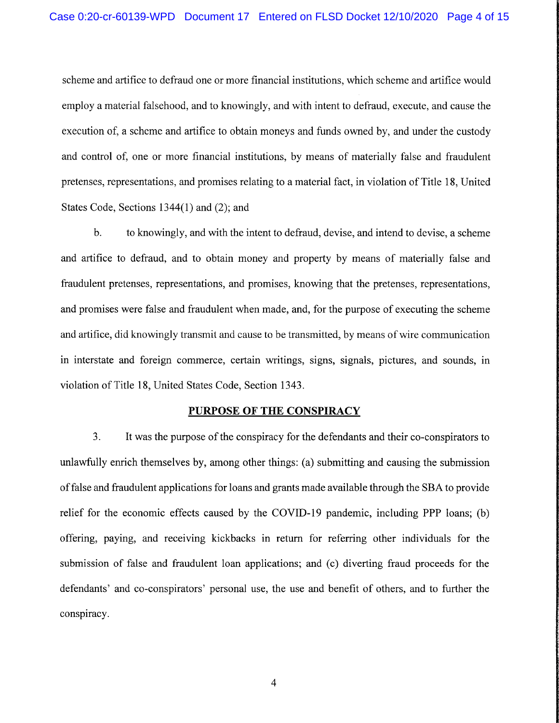scheme and artifice to defraud one or more financial institutions, which scheme and artifice would employ a material falsehood, and to knowingly, and with intent to defraud, execute, and cause the execution of, a scheme and artifice to obtain moneys and funds owned by, and under the custody and control of, one or more financial institutions, by means of materially false and fraudulent pretenses, representations, and promises relating to a material fact, in violation of Title 18, United States Code, Sections 1344(1) and (2); and

b. to knowingly, and with the intent to defraud, devise, and intend to devise, a scheme and artifice to defraud, and to obtain money and property by means of materially false and fraudulent pretenses, representations, and promises, knowing that the pretenses, representations, and promises were false and fraudulent when made, and, for the purpose of executing the scheme and artifice, did knowingly transmit and cause to be transmitted, by means of wire communication in interstate and foreign commerce, certain writings, signs, signals, pictures, and sounds, in violation of Title 18, United States Code, Section 1343.

#### **PURPOSE OF THE CONSPIRACY**

3. It was the purpose of the conspiracy for the defendants and their co-conspirators to unlawfully enrich themselves by, among other things: (a) submitting and causing the submission of false and fraudulent applications for loans and grants made available through the SBA to provide relief for the economic effects caused by the COVID-19 pandemic, including PPP loans; (b) offering, paying, and receiving kickbacks in return for referring other individuals for the submission of false and fraudulent loan applications; and (c) diverting fraud proceeds for the defendants' and co-conspirators' personal use, the use and benefit of others, and to further the conspiracy.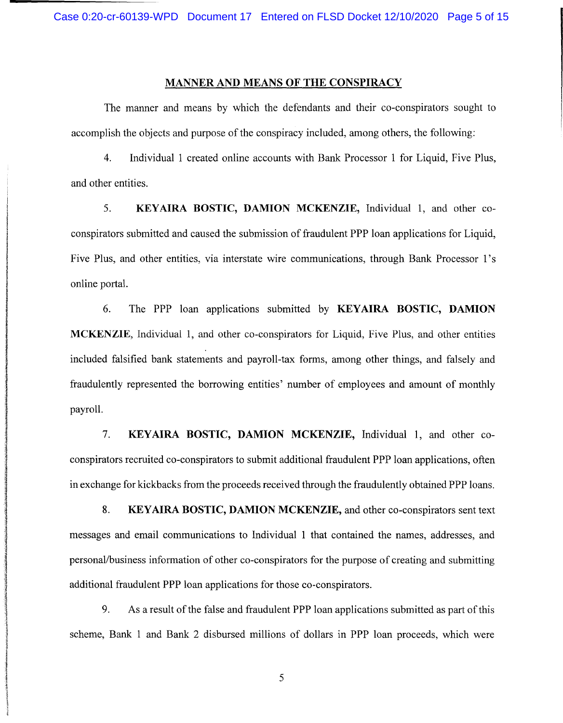#### **MANNER AND MEANS OF THE CONSPIRACY**

The manner and means by which the defendants and their co-conspirators sought to accomplish the objects and purpose of the conspiracy included, among others, the following:

4. Individual 1 created online accounts with Bank Processor 1 for Liquid, Five Plus, and other entities.

5. **KEYAIRA BOSTIC, DAMION MCKENZIE,** Individual 1, and other coconspirators submitted and caused the submission of fraudulent PPP loan applications for Liquid, Five Plus, and other entities, via interstate wire communications, through Bank Processor 1's online portal.

6. The PPP loan applications submitted by **KEY AIRA BOSTIC, DAMION MCKENZIE,** Individual 1, and other co-conspirators for Liquid, Five Plus, and other entities included falsified bank statements and payroll-tax forms, among other things, and falsely and fraudulently represented the borrowing entities' number of employees and amount of monthly payroll.

7. **KEYAIRA BOSTIC, DAMION MCKENZIE,** Individual 1, and other coconspirators recruited co-conspirators to submit additional fraudulent PPP loan applications, often in exchange for kickbacks from the proceeds received through the fraudulently obtained PPP loans.

8. **KEYAIRA BOSTIC, DAMION MCKENZIE,** and other co-conspirators sent text messages and email communications to Individual 1 that contained the names, addresses, and personal/business information of other co-conspirators for the purpose of creating and submitting additional fraudulent PPP loan applications for those co-conspirators.

9. As a result of the false and fraudulent PPP loan applications submitted as part of this scheme, Bank 1 and Bank 2 disbursed millions of dollars in PPP loan proceeds, which were

5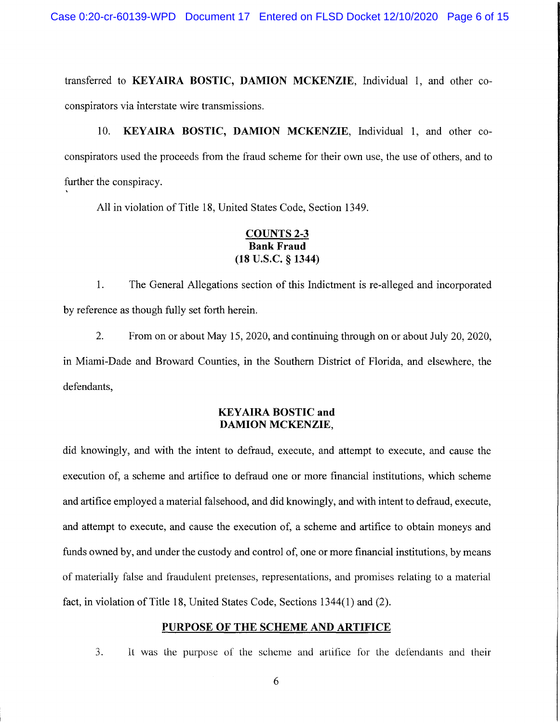transferred to **KEYAIRA BOSTIC, DAMION MCKENZIE,** Individual 1, and other coconspirators via interstate wire transmissions.

10. **KEYAIRA BOSTIC, DAMION MCKENZIE,** Individual 1, and other coconspirators used the proceeds from the fraud scheme for their own use, the use of others, and to further the conspiracy.

All in violation of Title 18, United States Code, Section 1349.

#### **COUNTS 2-3 Bank Fraud (18 u.s.c. § 1344)**

1. The General Allegations section of this Indictment is re-alleged and incorporated by reference as though fully set forth herein.

2. From on or about May 15, 2020, and continuing through on or about July 20, 2020, in Miami-Dade and Broward Counties, in the Southern District of Florida, and elsewhere, the defendants,

#### **KEYAIRA BOSTIC and DAMION MCKENZIE,**

did knowingly, and with the intent to defraud, execute, and attempt to execute, and cause the execution of, a scheme and artifice to defraud one or more financial institutions, which scheme and artifice employed a material falsehood, and did knowingly, and with intent to defraud, execute, and attempt to execute, and cause the execution of, a scheme and artifice to obtain moneys and funds owned by, and under the custody and control of, one or more financial institutions, by means of materially false and fraudulent pretenses, representations, and promises relating to a material fact, in violation of Title 18, United States Code, Sections 1344(1) and (2).

#### **PURPOSE OF THE SCHEME AND ARTIFICE**

3. It was the purpose of the scheme and artifice for the defendants and their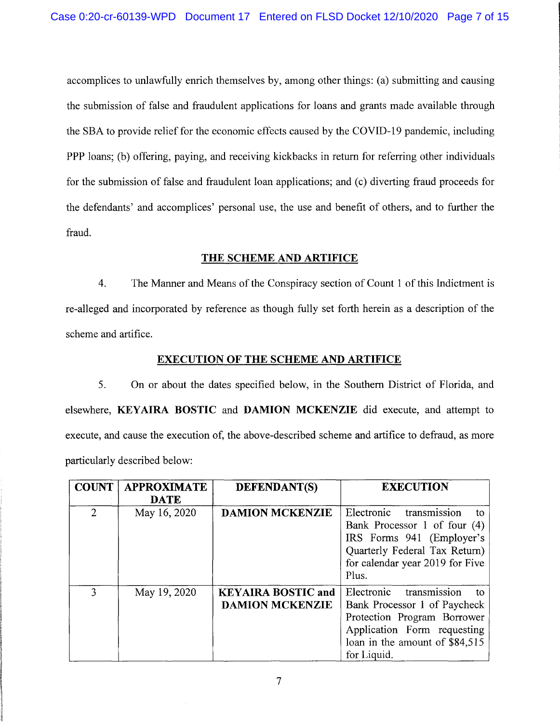accomplices to unlawfully enrich themselves by, among other things: (a) submitting and causing the submission of false and fraudulent applications for loans and grants made available through the SBA to provide relief for the economic effects caused by the COVID-19 pandemic, including PPP loans; (b) offering, paying, and receiving kickbacks in return for referring other individuals for the submission of false and fraudulent loan applications; and (c) diverting fraud proceeds for the defendants' and accomplices' personal use, the use and benefit of others, and to further the fraud.

#### **THE SCHEME AND ARTIFICE**

4. The Manner and Means of the Conspiracy section of Count 1 of this Indictment is re-alleged and incorporated by reference as though fully set forth herein as a description of the scheme and artifice.

#### **EXECUTION OF THE SCHEME AND ARTIFICE**

5. On or about the dates specified below, in the Southern District of Florida, and elsewhere, **KEYAIRA BOSTIC** and **DAMION MCKENZIE** did execute, and attempt to execute, and cause the execution of, the above-described scheme and artifice to defraud, as more particularly described below:

| <b>COUNT</b>   | <b>APPROXIMATE</b><br><b>DATE</b> | DEFENDANT(S)                                        | <b>EXECUTION</b>                                                                                                                                                                |
|----------------|-----------------------------------|-----------------------------------------------------|---------------------------------------------------------------------------------------------------------------------------------------------------------------------------------|
| $\overline{2}$ | May 16, 2020                      | <b>DAMION MCKENZIE</b>                              | transmission<br>Electronic<br>to<br>Bank Processor 1 of four (4)<br>IRS Forms 941 (Employer's<br>Quarterly Federal Tax Return)<br>for calendar year 2019 for Five<br>Plus.      |
| 3              | May 19, 2020                      | <b>KEYAIRA BOSTIC and</b><br><b>DAMION MCKENZIE</b> | transmission<br>Electronic<br>tο<br>Bank Processor 1 of Paycheck<br>Protection Program Borrower<br>Application Form requesting<br>loan in the amount of \$84,515<br>for Liquid. |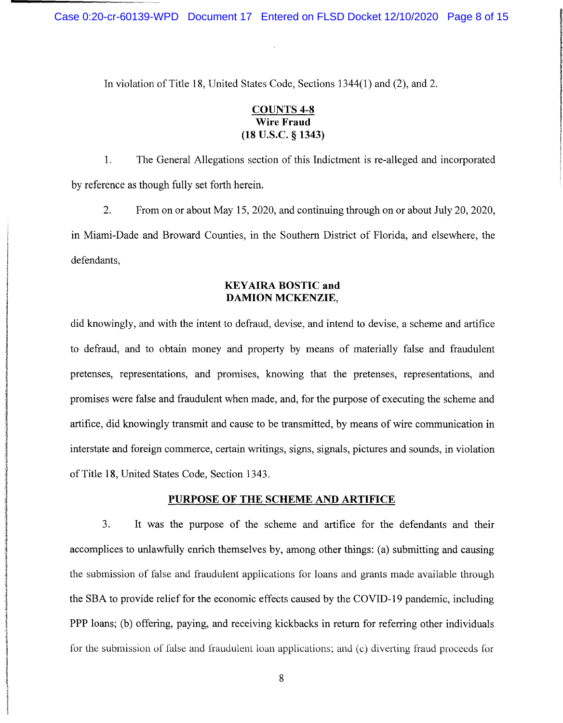In violation of Title 18, United States Code, Sections 1344(1) and (2), and 2.

## **COUNTS 4-8 Wire Fraud (18 u.s.c.** § **1343)**

1. The General Allegations section of this Indictment is re-alleged and incorporated by reference as though fully set forth herein.

2. From on or about May 15, 2020, and continuing through on or about July 20, 2020, in Miami-Dade and Broward Counties, in the Southern District of Florida, and elsewhere, the defendants,

#### **KEYAIRA BOSTIC and DAMION MCKENZIE,**

did knowingly, and with the intent to defraud, devise, and intend to devise, a scheme and artifice to defraud, and to obtain money and property by means of materially false and fraudulent pretenses, representations, and promises, knowing that the pretenses, representations, and promises were false and fraudulent when made, and, for the purpose of executing the scheme and artifice, did knowingly transmit and cause to be transmitted, by means of wire communication in interstate and foreign commerce, certain writings, signs, signals, pictures and sounds, in violation of Title 18, United States Code, Section 1343.

#### **PURPOSE OF THE SCHEME AND ARTIFICE**

3. It was the purpose of the scheme and artifice for the defendants and their accomplices to unlawfully enrich themselves by, among other things: (a) submitting and causing the submission of false and fraudulent applications for loans and grants made available through the SBA to provide relief for the economic effects caused by the COVID-19 pandemic, including PPP loans; (b) offering, paying, and receiving kickbacks in return for referring other individuals for the submission of false and fraudulent loan applications; and (c) diverting fraud proceeds for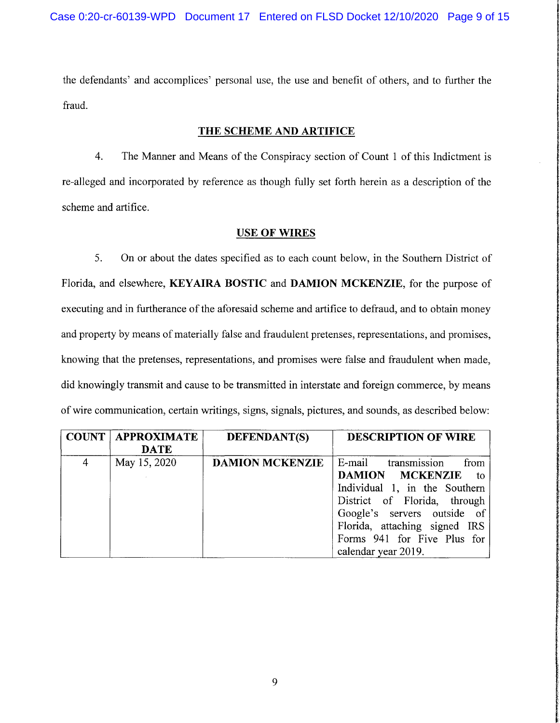the defendants' and accomplices' personal use, the use and benefit of others, and to further the fraud.

#### **THE SCHEME AND ARTIFICE**

4. The Manner and Means of the Conspiracy section of Count 1 of this Indictment is re-alleged and incorporated by reference as though fully set forth herein as a description of the scheme and artifice.

#### **USE OF WIRES**

5. On or about the dates specified as to each count below, in the Southern District of Florida, and elsewhere, **KEYAIRA BOSTIC** and **DAMION MCKENZIE,** for the purpose of executing and in furtherance of the aforesaid scheme and artifice to defraud, and to obtain money and property by means of materially false and fraudulent pretenses, representations, and promises, knowing that the pretenses, representations, and promises were false and fraudulent when made, did knowingly transmit and cause to be transmitted in interstate and foreign commerce, by means of wire communication, certain writings, signs, signals, pictures, and sounds, as described below:

**International Constitution of the Constitution** 

**BARACA ANG ANG ANG ANG ANG ANG ANG AN** 

II. Mark Land Controller and Construction of the American School School School School School School School Sch<br>In the Constitution of the Constitution of the Constitution of the Constitution of the Constitution of the Con

|   | <b>COUNT   APPROXIMATE</b> | <b>DEFENDANT(S)</b>    | <b>DESCRIPTION OF WIRE</b>    |  |
|---|----------------------------|------------------------|-------------------------------|--|
|   | <b>DATE</b>                |                        |                               |  |
| 4 | May 15, 2020               | <b>DAMION MCKENZIE</b> | E-mail transmission<br>from   |  |
|   |                            |                        | DAMION MCKENZIE to            |  |
|   |                            |                        | Individual 1, in the Southern |  |
|   |                            |                        | District of Florida, through  |  |
|   |                            |                        | Google's servers outside of   |  |
|   |                            |                        | Florida, attaching signed IRS |  |
|   |                            |                        | Forms 941 for Five Plus for   |  |
|   |                            |                        | calendar year 2019.           |  |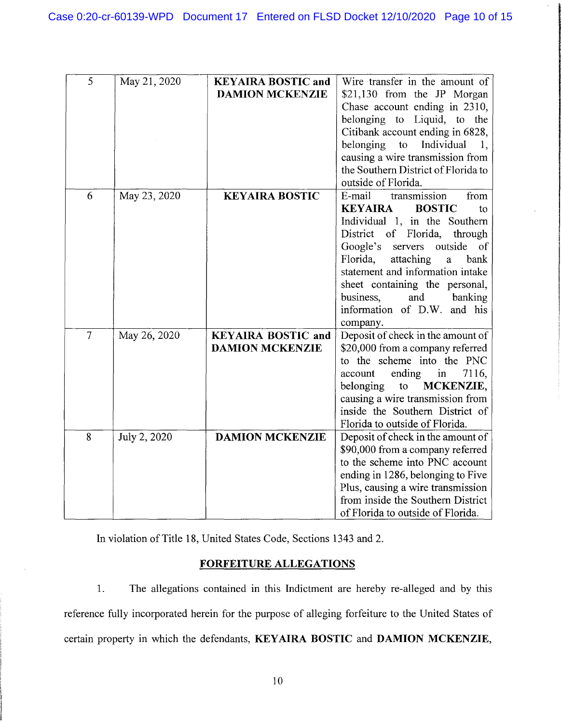| 5              | May 21, 2020 | <b>KEYAIRA BOSTIC and</b> | Wire transfer in the amount of                |  |
|----------------|--------------|---------------------------|-----------------------------------------------|--|
|                |              | <b>DAMION MCKENZIE</b>    | \$21,130 from the JP Morgan                   |  |
|                |              |                           | Chase account ending in 2310,                 |  |
|                |              |                           | belonging to Liquid, to the                   |  |
|                |              |                           | Citibank account ending in 6828,              |  |
|                |              |                           | belonging<br>to<br>Individual<br>1.           |  |
|                |              |                           | causing a wire transmission from              |  |
|                |              |                           | the Southern District of Florida to           |  |
|                |              |                           | outside of Florida.                           |  |
| 6              | May 23, 2020 | <b>KEYAIRA BOSTIC</b>     | transmission<br>E-mail<br>from                |  |
|                |              |                           | <b>KEYAIRA</b><br><b>BOSTIC</b><br>to         |  |
|                |              |                           | Individual 1, in the Southern                 |  |
|                |              |                           | District of<br>Florida,<br>through            |  |
|                |              |                           | Google's<br>outside<br>servers<br>of          |  |
|                |              |                           | Florida,<br>attaching<br>$\mathbf{a}$<br>bank |  |
|                |              |                           | statement and information intake              |  |
|                |              |                           | sheet containing the personal,                |  |
|                |              |                           | business,<br>and<br>banking                   |  |
|                |              |                           | information of D.W. and his                   |  |
|                |              |                           | company.                                      |  |
| $\overline{7}$ | May 26, 2020 | <b>KEYAIRA BOSTIC and</b> | Deposit of check in the amount of             |  |
|                |              | <b>DAMION MCKENZIE</b>    | \$20,000 from a company referred              |  |
|                |              |                           | to the scheme into the PNC                    |  |
|                |              |                           | ending<br>7116,<br>account<br>in              |  |
|                |              |                           | belonging<br>MCKENZIE,<br>$\mathsf{to}$       |  |
|                |              |                           | causing a wire transmission from              |  |
|                |              |                           | inside the Southern District of               |  |
|                |              |                           | Florida to outside of Florida.                |  |
| 8              | July 2, 2020 | <b>DAMION MCKENZIE</b>    | Deposit of check in the amount of             |  |
|                |              |                           | \$90,000 from a company referred              |  |
|                |              |                           | to the scheme into PNC account                |  |
|                |              |                           | ending in 1286, belonging to Five             |  |
|                |              |                           | Plus, causing a wire transmission             |  |
|                |              |                           | from inside the Southern District             |  |
|                |              |                           | of Florida to outside of Florida.             |  |

In violation of Title 18, United States Code, Sections 1343 and 2.

## **FORFEITURE ALLEGATIONS**

1. The allegations contained in this Indictment are hereby re-alleged and by this reference fully incorporated herein for the purpose of alleging forfeiture to the United States of certain property in which the defendants, **KEY AIRA BOSTIC and DAMION MCKENZIE,**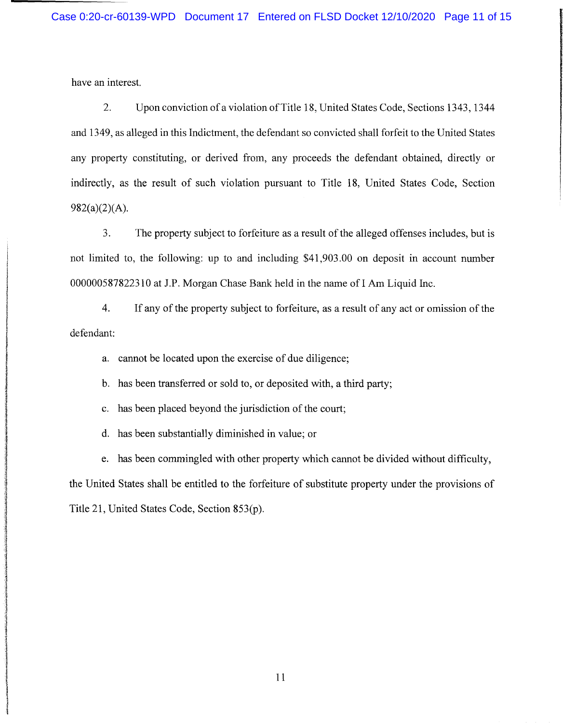have an interest.

2. Upon conviction of a violation of Title 18, United States Code, Sections 1343, 1344 and 1349, as alleged in this Indictment, the defendant so convicted shall forfeit to the United States any property constituting, or derived from, any proceeds the defendant obtained, directly or indirectly, as the result of such violation pursuant to Title 18, United States Code, Section  $982(a)(2)(A)$ .

3. The property subject to forfeiture as a result of the alleged offenses includes, but is not limited to, the following: up to and including \$41,903.00 on deposit in account number 000000587822310 at J.P. Morgan Chase Bank held in the name of I Am Liquid Inc.

4. If any of the property subject to forfeiture, as a result of any act or omission of the defendant:

a. cannot be located upon the exercise of due diligence;

b. has been transferred or sold to, or deposited with, a third party;

c. has been placed beyond the jurisdiction of the court;

d. has been substantially diminished in value; or

e. has been commingled with other property which cannot be divided without difficulty, the United States shall be entitled to the forfeiture of substitute property under the provisions of Title 21, United States Code, Section 853(p).

11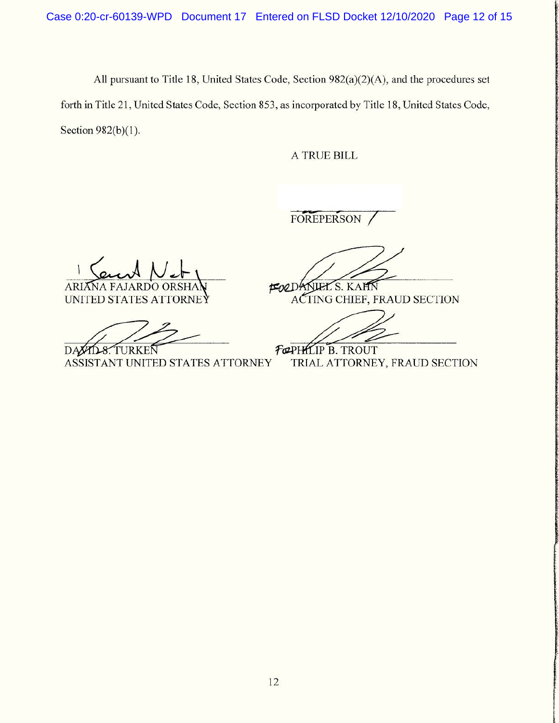All pursuant to Title 18, United States Code, Section 982(a)(2)(A), and the procedures set forth in Title 21, United States Code, Section 853, as incorporated by Title 18, United States Code, Section 982(b)(1).

A TRUE BILL

FOREPERSON /

ARIANA FAJARDO ORSHAN **FOLDANIEL**S. KAHN

**DAXYD-8. TURKEN** 

UNITED STATES ATTORNEY ACTING CHIEF, FRAUD SECTION

**FORTHLIP B. TROUT<br>TRIAL ATTORNEY, FRAUD SECTION**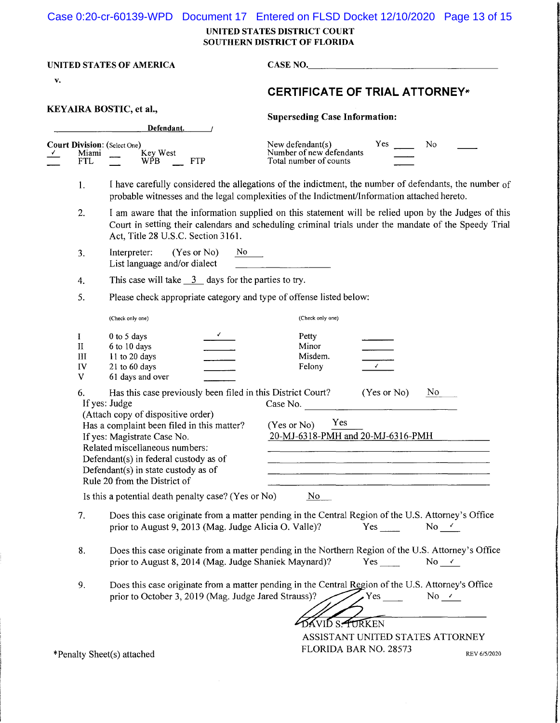|  | Case 0:20-cr-60139-WPD Document 17 Entered on FLSD Docket 12/10/2020 Page 13 of 15 |  |  |  |  |
|--|------------------------------------------------------------------------------------|--|--|--|--|
|--|------------------------------------------------------------------------------------|--|--|--|--|

**UNITED STATES DISTRICT COURT SOUTHERN DISTRICT OF FLORIDA** 

| UNITED STATES OF AMERICA<br>v. |                                           |                                                                                                                                                                                                                                                                                                                                                                                                          | <b>CASE NO.</b><br><b>CERTIFICATE OF TRIAL ATTORNEY*</b>                                                                                                                                                      |  |  |
|--------------------------------|-------------------------------------------|----------------------------------------------------------------------------------------------------------------------------------------------------------------------------------------------------------------------------------------------------------------------------------------------------------------------------------------------------------------------------------------------------------|---------------------------------------------------------------------------------------------------------------------------------------------------------------------------------------------------------------|--|--|
|                                |                                           |                                                                                                                                                                                                                                                                                                                                                                                                          |                                                                                                                                                                                                               |  |  |
| KEYAIRA BOSTIC, et al.,        |                                           | Defendant.                                                                                                                                                                                                                                                                                                                                                                                               | <b>Superseding Case Information:</b>                                                                                                                                                                          |  |  |
|                                | Miami<br>FTL                              | <b>Court Division:</b> (Select One)<br>Key West<br><b>FTP</b><br>WPB.                                                                                                                                                                                                                                                                                                                                    | Yes<br>N <sub>0</sub><br>New defendant(s)<br>Number of new defendants<br>Total number of counts                                                                                                               |  |  |
|                                | 1.                                        |                                                                                                                                                                                                                                                                                                                                                                                                          | I have carefully considered the allegations of the indictment, the number of defendants, the number of<br>probable witnesses and the legal complexities of the Indictment/Information attached hereto.        |  |  |
|                                | 2.                                        | Act, Title 28 U.S.C. Section 3161.                                                                                                                                                                                                                                                                                                                                                                       | I am aware that the information supplied on this statement will be relied upon by the Judges of this<br>Court in setting their calendars and scheduling criminal trials under the mandate of the Speedy Trial |  |  |
|                                | 3.                                        | Interpreter:<br>(Yes or No)<br>No.<br>List language and/or dialect                                                                                                                                                                                                                                                                                                                                       |                                                                                                                                                                                                               |  |  |
|                                | 4.                                        | This case will take $\frac{3}{2}$ days for the parties to try.                                                                                                                                                                                                                                                                                                                                           |                                                                                                                                                                                                               |  |  |
|                                | 5.                                        | Please check appropriate category and type of offense listed below:                                                                                                                                                                                                                                                                                                                                      |                                                                                                                                                                                                               |  |  |
|                                |                                           | (Check only one)                                                                                                                                                                                                                                                                                                                                                                                         | (Check only one)                                                                                                                                                                                              |  |  |
|                                | I<br>$\rm II$<br>III<br>IV<br>$\mathbf V$ | $\sqrt{ }$<br>0 to 5 days<br>6 to 10 days<br>11 to 20 days<br>21 to 60 days<br>61 days and over                                                                                                                                                                                                                                                                                                          | Petty<br>Minor<br>Misdem.<br>$\sqrt{2}$<br>Felony                                                                                                                                                             |  |  |
|                                | 6.                                        | Has this case previously been filed in this District Court?<br>If yes: Judge<br>(Attach copy of dispositive order)<br>Has a complaint been filed in this matter?<br>If yes: Magistrate Case No.<br>Related miscellaneous numbers:<br>Defendant(s) in federal custody as of<br>Defendant(s) in state custody as of<br>Rule 20 from the District of<br>Is this a potential death penalty case? (Yes or No) | (Yes or No)<br>No.<br>Case No.<br>Yes<br>(Yes or No)<br>20-MJ-6318-PMH and 20-MJ-6316-PMH<br>No                                                                                                               |  |  |
|                                | 7.                                        | prior to August 9, 2013 (Mag. Judge Alicia O. Valle)?                                                                                                                                                                                                                                                                                                                                                    | Does this case originate from a matter pending in the Central Region of the U.S. Attorney's Office<br>No $\checkmark$<br>Yes                                                                                  |  |  |
|                                | 8.                                        | prior to August 8, 2014 (Mag. Judge Shaniek Maynard)?                                                                                                                                                                                                                                                                                                                                                    | Does this case originate from a matter pending in the Northern Region of the U.S. Attorney's Office<br>$No \rightharpoonup$<br>Yes $\frac{1}{2}$                                                              |  |  |
|                                | 9.                                        | prior to October 3, 2019 (Mag. Judge Jared Strauss)?                                                                                                                                                                                                                                                                                                                                                     | Does this case originate from a matter pending in the Central Region of the U.S. Attorney's Office<br>Yes<br>No $\checkmark$                                                                                  |  |  |
|                                |                                           | *Penalty Sheet(s) attached                                                                                                                                                                                                                                                                                                                                                                               | <b>DAVID S. FURKEN</b><br>ASSISTANT UNITED STATES ATTORNEY<br>FLORIDA BAR NO. 28573<br>REV 6/5/2020                                                                                                           |  |  |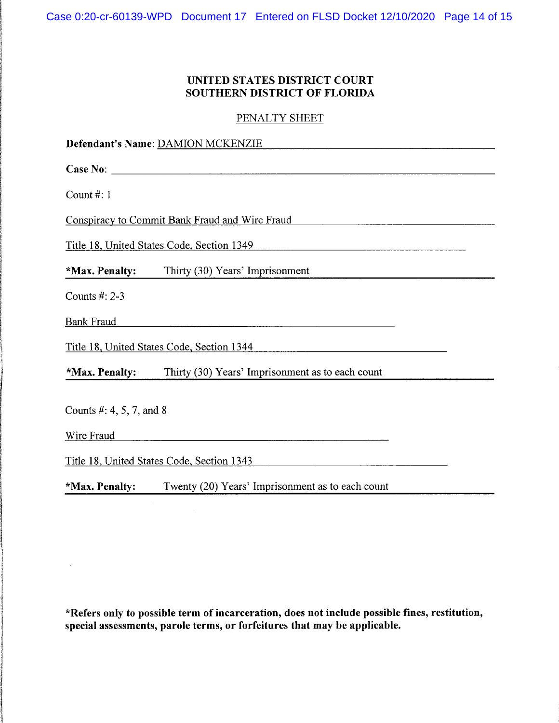## **UNITED STATES DISTRICT COURT SOUTHERN DISTRICT OF FLORIDA**

PENALTY SHEET

| Defendant's Name: DAMION MCKENZIE |                                                  |  |  |
|-----------------------------------|--------------------------------------------------|--|--|
|                                   |                                                  |  |  |
| Count #: $1$                      |                                                  |  |  |
|                                   | Conspiracy to Commit Bank Fraud and Wire Fraud   |  |  |
|                                   | Title 18, United States Code, Section 1349       |  |  |
| *Max. Penalty:                    | Thirty (30) Years' Imprisonment                  |  |  |
| Counts #: 2-3                     |                                                  |  |  |
| <b>Bank Fraud</b>                 |                                                  |  |  |
|                                   | Title 18, United States Code, Section 1344       |  |  |
| *Max. Penalty:                    | Thirty (30) Years' Imprisonment as to each count |  |  |
| Counts #: 4, 5, 7, and 8          |                                                  |  |  |
| Wire Fraud                        |                                                  |  |  |
|                                   | Title 18, United States Code, Section 1343       |  |  |
| *Max. Penalty:                    | Twenty (20) Years' Imprisonment as to each count |  |  |

**\*Refers only to possible term of incarceration, does not include possible fines, restitution, special assessments, parole terms, or forfeitures that may be applicable.** 

 $\mathcal{L}_{\mathcal{C}}$